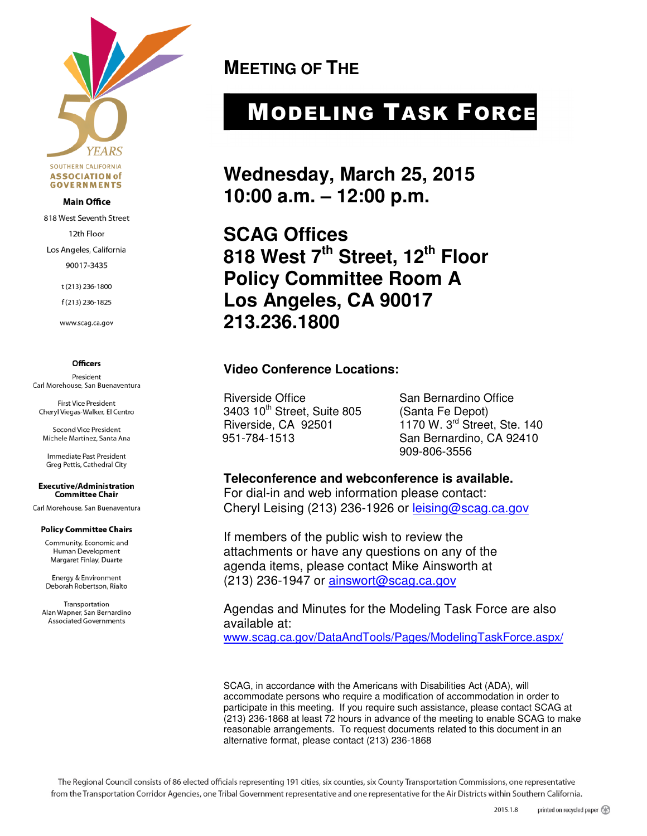

#### **Main Office**

818 West Seventh Street

12th Floor

Los Angeles, California

90017-3435

t (213) 236-1800

f(213) 236-1825

www.scag.ca.gov

#### **Officers**

President Carl Morehouse, San Buenaventura

First Vice President Cheryl Viegas-Walker, El Centro

**Second Vice President** Michele Martinez, Santa Ana

Immediate Past President Greg Pettis, Cathedral City

**Executive/Administration Committee Chair** 

Carl Morehouse, San Buenaventura

#### **Policy Committee Chairs**

Community, Economic and Human Development Margaret Finlay, Duarte

Energy & Environment Deborah Robertson, Rialto

Transportation Alan Wapner, San Bernardino **Associated Governments** 

**MEETING OF THE** 

# MODELING TASK FORCE

**Wednesday, March 25, 2015 10:00 a.m. – 12:00 p.m.** 

**SCAG Offices 818 West 7th Street, 12th Floor Policy Committee Room A Los Angeles, CA 90017 213.236.1800** 

#### **Video Conference Locations:**

Riverside Office San Bernardino Office 3403 10<sup>th</sup> Street, Suite 805 (Santa Fe Depot)

Riverside, CA 92501 1170 W. 3<sup>rd</sup> Street, Ste. 140<br>951-784-1513 San Bernardino, CA 92410 San Bernardino, CA 92410 909-806-3556

#### **Teleconference and webconference is available.**

For dial-in and web information please contact: Cheryl Leising (213) 236-1926 or leising@scag.ca.gov

If members of the public wish to review the attachments or have any questions on any of the agenda items, please contact Mike Ainsworth at (213) 236-1947 or ainswort@scag.ca.gov

Agendas and Minutes for the Modeling Task Force are also available at: www.scag.ca.gov/DataAndTools/Pages/ModelingTaskForce.aspx/

SCAG, in accordance with the Americans with Disabilities Act (ADA), will accommodate persons who require a modification of accommodation in order to participate in this meeting. If you require such assistance, please contact SCAG at (213) 236-1868 at least 72 hours in advance of the meeting to enable SCAG to make reasonable arrangements. To request documents related to this document in an alternative format, please contact (213) 236-1868

The Regional Council consists of 86 elected officials representing 191 cities, six counties, six County Transportation Commissions, one representative from the Transportation Corridor Agencies, one Tribal Government representative and one representative for the Air Districts within Southern California.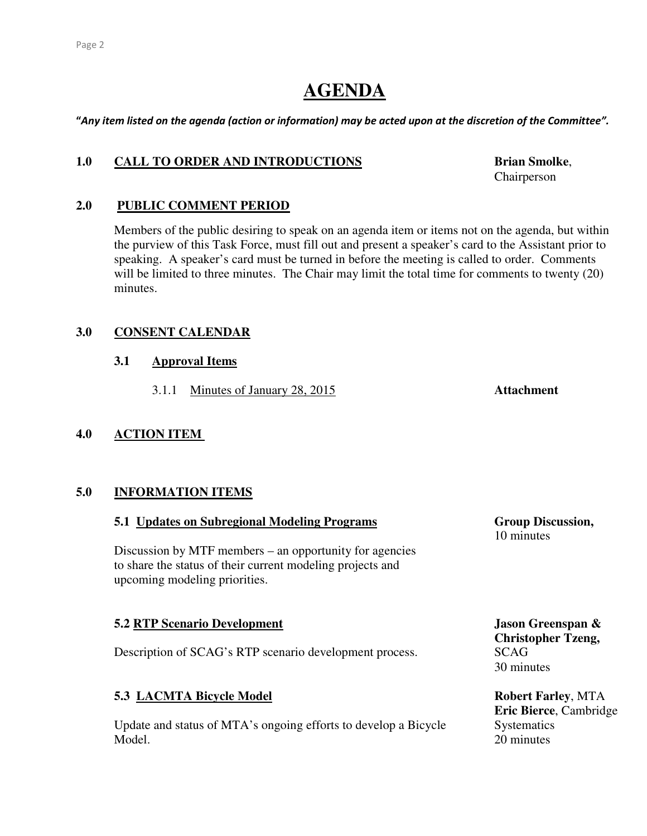## **AGENDA**

"Any item listed on the agenda (action or information) may be acted upon at the discretion of the Committee".

#### 1.0 CALL TO ORDER AND INTRODUCTIONS Brian Smolke,

#### **2.0 PUBLIC COMMENT PERIOD**

 Members of the public desiring to speak on an agenda item or items not on the agenda, but within the purview of this Task Force, must fill out and present a speaker's card to the Assistant prior to speaking. A speaker's card must be turned in before the meeting is called to order. Comments will be limited to three minutes. The Chair may limit the total time for comments to twenty (20) minutes.

#### **3.0 CONSENT CALENDAR**

#### **3.1 Approval Items**

3.1.1 Minutes of January 28, 2015 **Attachment** 

#### **4.0 ACTION ITEM**

#### **5.0 INFORMATION ITEMS**

#### **5.1 Updates on Subregional Modeling Programs Group Discussion,**

Discussion by MTF members – an opportunity for agencies to share the status of their current modeling projects and upcoming modeling priorities.

#### **5.2 RTP Scenario Development Jason Greenspan &**

Description of SCAG's RTP scenario development process. SCAG

#### **5.3 LACMTA Bicycle Model Robert Farley, MTA**

Update and status of MTA's ongoing efforts to develop a Bicycle Systematics Model. 20 minutes

Chairperson

10 minutes

 **Christopher Tzeng,**  30 minutes

**Eric Bierce**, Cambridge